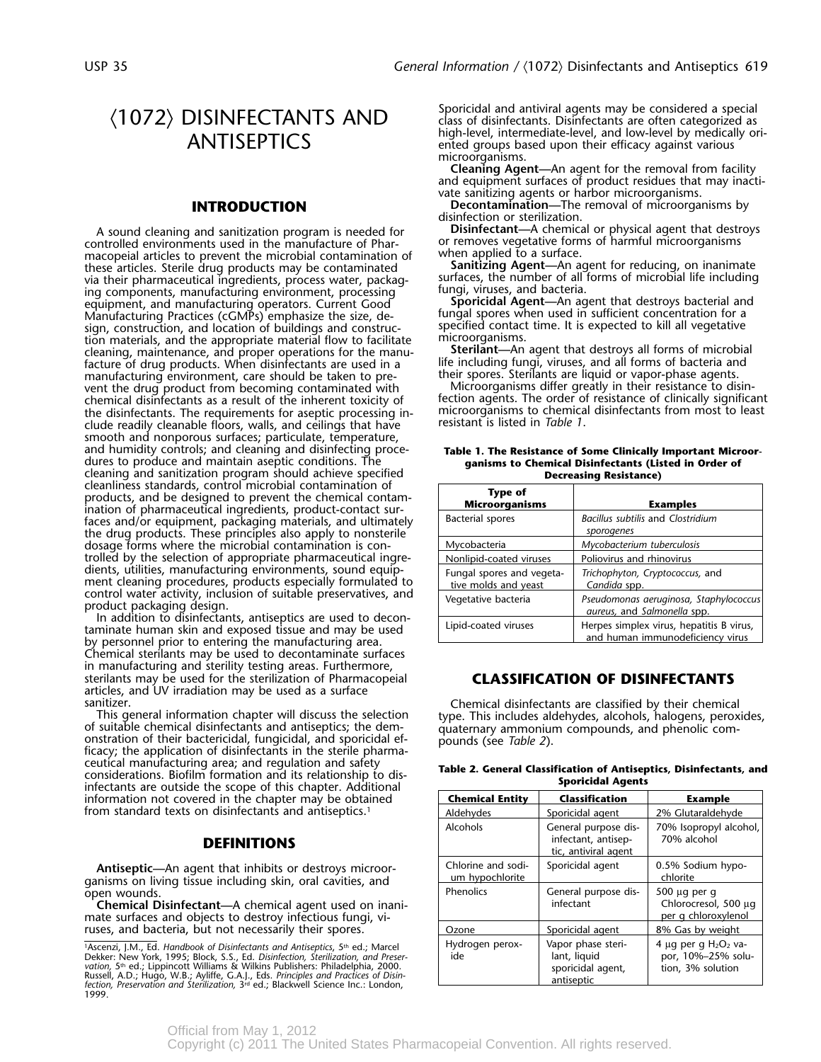macopeial articles to prevent the microbial contamination of when applied to a surface.<br>these articles, Sterile drug products may be contaminated **Sanitizing Agent—**An agent for reducing, on inanimate these articles. Sterile drug products may be contaminated **Sanitizing Agent—**An agent for reducing, on inanimate via their pharmaceutical ingredients, process water, packag- surfaces, the number of all forms of microbial life including ing components, manufacturing environment, processing equipment, and manufacturing operators. Current Good<br>Manufacturing Practices (cGMPs) emphasize the size, de-<br>sign. construction, and location of buildings and construc-<br>specified contact time. It is expected to kill all ve sign, construction, and location of buildings and construc- specified contact tion materials, and the appropriate material flow to facilitate in microorganisms. tion materials, and the appropriate material flow to facilitate microorganisms.<br>cleaning, maintenance, and proper operations for the manu-**Sterilant—An** agent that destroys all forms of microbial cleaning, maintenance, and proper operations for the manu- **Sterilant—**An agent that destroys all forms of microbial facture of drug products. When disinfectants are used in a life including fungi, viruses, and all forms of bacteria an<br>manufacturing environment, care should be taken to pre-<br>their spores. Sterilants are liquid or vapor-ph manufacturing environment, care should be taken to pre- their spores. Sterliants are liquid or vapor-phase agents.<br>vent the drug product from becoming contaminated with Microorganisms differ greatly in their resistance to vent the drug product from becoming contaminated with Microorganisms differ greatly in their resistance to disinthe disinfectants. The requirements for aseptic processing in-<br>
clude readily cleanable floors walls and ceilings that have resistant is listed in *Table 1*. clude readily cleanable floors, walls, and ceilings that have smooth and nonporous surfaces; particulate, temperature, and humidity controls; and cleaning and disinfecting proce-<br> **Table 1. The Resistance of Some Clinically Important Microor-**<br> **Summer Some Clinical Disinfectants (Listed in Order of** dures to produce and maintain aseptic conditions. The cleaning and sanitization program should achieve specified<br>
cleanliness standards, control microbial contamination of products, and be designed to prevent the chemical contamination of pharmaceutical ingredients, product-contact sur-<br>ination of pharmaceutical ingredients, product-contact surfaces and/or equipment, packaging materials, and ultimately *sporogenes* the drug products. These principles also apply to nonsterile dosage forms where the microbial contamination is controlled by the selection of appropriate pharmaceutical ingredients, utilities, manufacturing environments, sound equip-<br>ment cleaning procedures, products especially formulated to

Chemical sterilants may be used to decontaminate surfaces in manufacturing and sterility testing areas. Furthermore, sterilants may be used for the sterilization of Pharmacopeial **CLASSIFICATION OF DISINFECTANTS** articles, and UV irradiation may be used as a surface

ceutical manufacturing area; and regulation and safety<br>considerations. Biofilm formation and its relationship to dis-<br>infectants are outside the scope of this chapter. Additional<br>mectants are outside the scope of this chap **information not covered in the chapter may be obtained** from standard texts on disinfectants and antiseptics.<sup>1</sup>

### **DEFINITIONS**

**Antiseptic—** An agent that inhibits or destroys microor- ganisms on living tissue including skin, oral cavities, and open wounds.

**Chemical Disinfectant—A** chemical agent used on inanimate surfaces and objects to destroy infectious fungi, viruses, and bacteria, but not necessarily their spores.

 $\frac{1}{2}$ <br>
Dekker: New York, 1995; Block, S.S., Ed. Disinfection, sterilization, and Preser<br>
Vation, 5<sup>th</sup> ed.; Lippincott Williams & Wilkins Publishers: Philadelphia, 2000.<br>
Nution, 5<sup>th</sup> ed.; Lippincott Williams & Wilki 1999.

 $\langle 1072 \rangle$  DISINFECTANTS AND sporicidal and antiviral agents may be considered a special  $\langle 1072 \rangle$  $\Delta \text{NTISEPTICS}$  high-level, intermediate-level, and low-level by medically ori- ented groups based upon their efficacy against various microorganisms.

> **Cleaning Agent—**An agent for the removal from facility and equipment surfaces of product residues that may inactivate sanitizing agents or harbor microorganisms.

**INTRODUCTION Decontamination—**The removal of microorganisms by disinfection or sterilization.

A sound cleaning and sanitization program is needed for **Disinfectant—**A chemical or physical agent that destroys or removes vegetative forms of harmful microorganisms

equipment, and manufacturing operators. Current Good **Sporicidal Agent**—An agent that destroys bacterial and fungal spores when used in sufficient concentration for a

chemical disinfectants as a result of the inherent toxicity of fection agents. The order of resistance of clinically significant

| cleanliness standards, control microbial contamination of<br>products, and be designed to prevent the chemical contam-<br>ination of pharmaceutical ingredients, product-contact sur-<br>faces and/or equipment, packaging materials, and ultimately<br>the drug products. These principles also apply to nonsterile                                                                                                                                                             | <b>Type of</b><br><b>Microorganisms</b>           | <b>Examples</b>                                                              |
|----------------------------------------------------------------------------------------------------------------------------------------------------------------------------------------------------------------------------------------------------------------------------------------------------------------------------------------------------------------------------------------------------------------------------------------------------------------------------------|---------------------------------------------------|------------------------------------------------------------------------------|
|                                                                                                                                                                                                                                                                                                                                                                                                                                                                                  | Bacterial spores                                  | Bacillus subtilis and Clostridium<br>sporogenes                              |
| dosage forms where the microbial contamination is con-                                                                                                                                                                                                                                                                                                                                                                                                                           | Mycobacteria                                      | Mycobacterium tuberculosis                                                   |
| trolled by the selection of appropriate pharmaceutical ingre-<br>dients, utilities, manufacturing environments, sound equip-<br>ment cleaning procedures, products especially formulated to<br>control water activity, inclusion of suitable preservatives, and<br>product packaging design.<br>In addition to disinfectants, antiseptics are used to decon-<br>taminate human skin and exposed tissue and may be used<br>by personnel prior to entering the manufacturing area. | Nonlipid-coated viruses                           | Poliovirus and rhinovirus                                                    |
|                                                                                                                                                                                                                                                                                                                                                                                                                                                                                  | Fungal spores and vegeta-<br>tive molds and yeast | Trichophyton, Cryptococcus, and<br>Candida spp.                              |
|                                                                                                                                                                                                                                                                                                                                                                                                                                                                                  | Vegetative bacteria                               | Pseudomonas aeruginosa, Staphylococcus<br>aureus, and Salmonella spp.        |
|                                                                                                                                                                                                                                                                                                                                                                                                                                                                                  | Lipid-coated viruses                              | Herpes simplex virus, hepatitis B virus,<br>and human immunodeficiency virus |
|                                                                                                                                                                                                                                                                                                                                                                                                                                                                                  |                                                   |                                                                              |

sanitizer.<br>
This general information chapter will discuss the selection<br>
of suitable chemical disinfectants and antiseptics; the dem-<br>
onstration of their bactericidal, fungicidal, and sporicidal ef-<br>
ficacy; the applicati

| <b>Chemical Entity</b>                | <b>Classification</b>                                                 | <b>Example</b>                                                     |
|---------------------------------------|-----------------------------------------------------------------------|--------------------------------------------------------------------|
| Aldehydes                             | Sporicidal agent                                                      | 2% Glutaraldehyde                                                  |
| Alcohols                              | General purpose dis-<br>infectant, antisep-<br>tic, antiviral agent   | 70% Isopropyl alcohol,<br>70% alcohol                              |
| Chlorine and sodi-<br>um hypochlorite | Sporicidal agent                                                      | 0.5% Sodium hypo-<br>chlorite                                      |
| Phenolics                             | General purpose dis-<br>infectant                                     | $500 \mu q$ per q<br>Chlorocresol, 500 µg<br>per q chloroxylenol   |
| Ozone                                 | Sporicidal agent                                                      | 8% Gas by weight                                                   |
| Hydrogen perox-<br>ide                | Vapor phase steri-<br>lant, liquid<br>sporicidal agent,<br>antiseptic | 4 µg per g $H_2O_2$ va-<br>por, 10%-25% solu-<br>tion, 3% solution |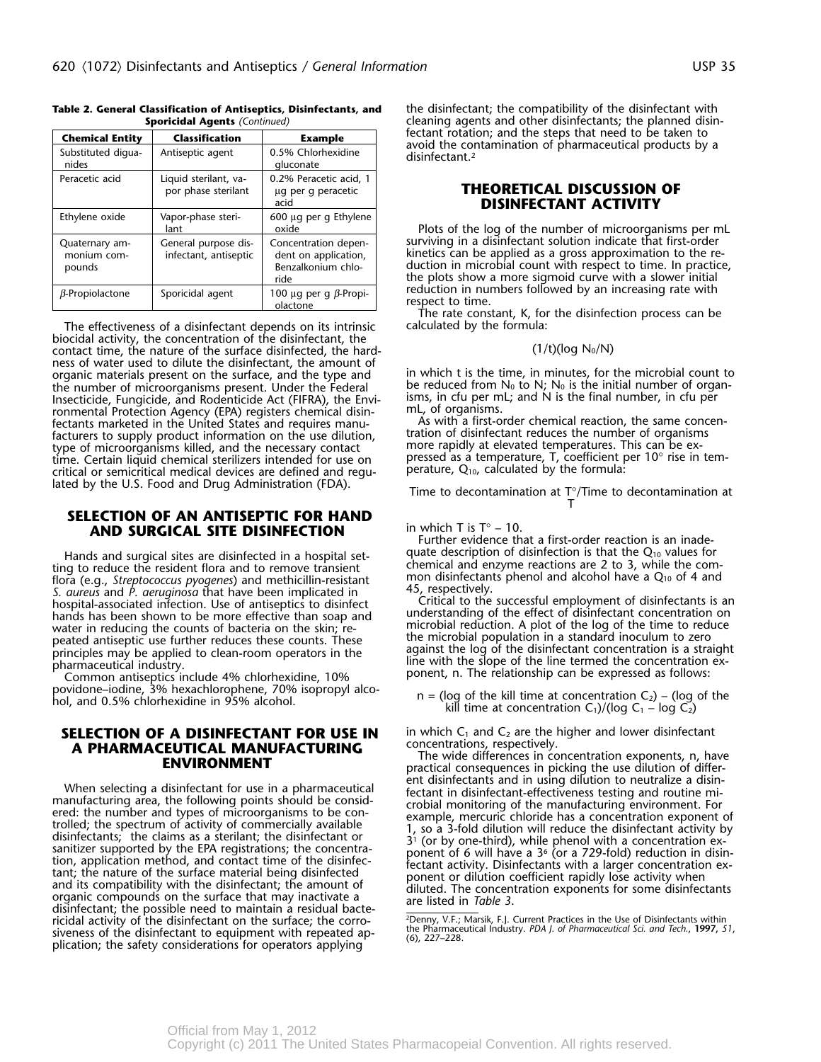| <b>Chemical Entity</b>                  | <b>Classification</b>                         | <b>Example</b>                                                             |  |
|-----------------------------------------|-----------------------------------------------|----------------------------------------------------------------------------|--|
| Substituted digua-<br>nides             | Antiseptic agent                              | 0.5% Chlorhexidine<br>gluconate                                            |  |
| Peracetic acid                          | Liquid sterilant, va-<br>por phase sterilant  | 0.2% Peracetic acid, 1<br>ug per g peracetic<br>acid                       |  |
| Ethylene oxide                          | Vapor-phase steri-<br>lant                    | 600 µg per g Ethylene<br>oxide                                             |  |
| Quaternary am-<br>monium com-<br>pounds | General purpose dis-<br>infectant, antiseptic | Concentration depen-<br>dent on application,<br>Benzalkonium chlo-<br>ride |  |
| $\beta$ -Propiolactone                  | Sporicidal agent                              | 100 µg per g $\beta$ -Propi-                                               |  |

# **Table 2. General Classification of Antiseptics, Disinfectants, and** the disinfectant; the compatibility of the disinfectant with **Sporicidal Agents** (Continued) cleaning agents and other disinfectants: the planned disin

The effectiveness of a disinfectant depends on its intrinsic biocidal activity, the concentration of the disinfectant, the contact time, the nature of the surface disinfected, the hard-  $(1/t)(\log N_0/N)$ ness of water used to dilute the disinfectant, the amount of Function Fungicide, and Rodenticide Act (FIFRA), the Envi-<br>
Issues, in cfu per mL; and N is the final number, in cfu per<br>
ronmental Protection Agency (EPA) registers chemical disin-<br>
fectants marketed in the United States type of microorganisms killed, and the necessary contact<br>time. Certain liquid chemical sterilizers intended for use on critical or semicritical medical devices are defined and regu-<br>lated by the U.S. Food and Drug Administration (FDA).

### **SELECTION OF AN ANTISEPTIC FOR HAND AND SURGICAL SITE DISINFECTION** in which T is T° – 10.

Figure Concinent form and alcohol have a Q<sub>10</sub> of 4 and<br>
S. *aureus* and *P. aeruginosa* that have been implicated in<br>
S. *aureus* and *P. aeruginosa* that have been implicated in<br>
hospital-associated infection. Use of ant

<sup>'</sup> Common antiseptics include 4% chlorhexidine, 10%<br>povidone–iodine, 3% hexachlorophene, 70% isopropyl alco-

## **SELECTION OF A DISINFECTANT FOR USE IN** in which C<sub>1</sub> and C<sub>2</sub> are the higher and lower disinfectant **A PHARMACFUTICAL MANUFACTURING** concentrations, respectively. **A PHARMACEUTICAL MANUFACTURING**<br>The wide differences in concentration exponents, n, have

When selecting a disinfectant for use in a pharmaceutical<br>manufacturing area, the following points should be considered that in disinfectant effectiveness testing and routine mi-<br>ered: the number and types of microorganis ricidal activity of the disinfectant on the surface; the corro-<br>the Pharmaceutical Industry PDA Lef Pharmaceutical Scharmaceutical Scharmaceutical Sci. and Jeck. 1997 6 including the distribution of the process of the process of the properties of the and Tech., 1997, 51,<br>siveness of the disinfectant to equipment with repeated ap-<br>plication; the safety considerations for operators applying

**Sporicidal Agents** *(Continued)* cleaning agents and other disinfectants; the planned disinfectant rotation; and the steps that need to be taken to<br>avoid the contamination of pharmaceutical products by a<br>disinfectant.<sup>2</sup>

### **THEORETICAL DISCUSSION OF** acid **DISINFECTANT ACTIVITY**

Plots of the log of the number of microorganisms per mL surviving in a disinfectant solution indicate that first-order kinetics can be applied as a gross approximation to the reduction in microbial count with respect to time. In practice, the plots show a more sigmoid curve with a slower initial reduction in numbers followed by an increasing rate with respect to time.

<u>| olactone | I</u> respect to time.<br>The rate constant, K, for the disinfection process can be<br>| calculated by the formula:

organic materials present on the surface, and the type and in which t is the time, in minutes, for the microbial count to the number of microorganisms present. Under the Federal be reduced from  $N_0$  to  $N_i$ ,  $N_0$  is the

pressed as a temperature, T, coefficient per 10° rise in tem-<br>perature,  $Q_{10}$ , calculated by the formula:

lated by the U.S. Food and Drug Administration (FDA). Time to decontamination at T°/Time to decontamination at T

Further evidence that a first-order reaction is an inade-Hands and surgical sites are disinfected in a hospital set-<br>ting to reduce the resident flora and to remove transient<br>chemical and enzyme reactions are 2 to 3, while the com-

water in reducing the counts of bacteria on the skin; re-<br>peated antiseptic use further reduces these counts. These the microbial population in a standard inoculum to zero peared antisepple use further reduces these counts. These<br>principles may be applied to clean-room operators in the<br>pharmaceutical industry.<br>Common antiseptics include 4% chlorbeviding 10% ponent, n. The relationship can be

povidone–iodine, 3% hexachlorophene, 70% isopropyr alco-<br>h = (log of the kill time at concentration C<sub>1</sub>)/(log C<sub>1</sub> – log C<sub>2</sub>)<br>kill time at concentration C<sub>1</sub>)/(log C<sub>1</sub> – log C<sub>2</sub>)

**THE WIRE DIFFERENT ENVIRONMENT**<br>practical consequences in picking the use dilution of differ-<br>ent disinfectants and in using dilution to neutralize a disin-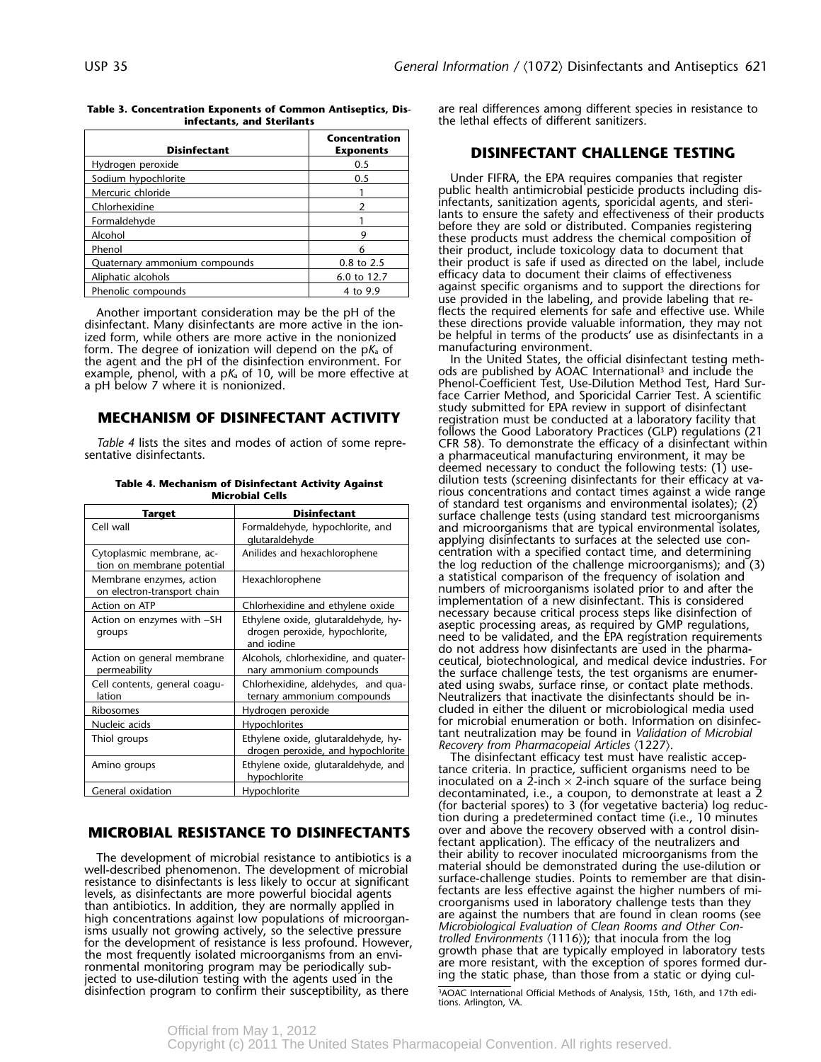| <b>Disinfectant</b>           | Concentration<br><b>Exponents</b> |
|-------------------------------|-----------------------------------|
| Hydrogen peroxide             | 0.5                               |
| Sodium hypochlorite           | 0.5                               |
| Mercuric chloride             |                                   |
| Chlorhexidine                 |                                   |
| Formaldehyde                  |                                   |
| Alcohol                       |                                   |
| Phenol                        |                                   |
| Quaternary ammonium compounds | 0.8 to 2.5                        |
| Aliphatic alcohols            | 6.0 to 12.7                       |
| Phenolic compounds            | 4 to 9.9                          |

Another important consideration may be the pH of the disinfectant. Many disinfectants are more active in the ionized form, while others are more active in the nonionized be helpful in terms of the products in the products in a both products in an analyze form. The degree of ionization will depend on the  $p\kappa$  of an anaufacturing e form. The degree of ionization will depend on the p*K*<sub>a</sub> of manufacturing environment.<br>the agent and the pH of the disinfection environment. For hell the United States, the official disinfectant testing meththe agent and the pH of the disinfection environment. For In the United States, the official disinfectant testing meth-<br>Example, phenol, with a pK, of 10, will be more effective at ods are published by AOAC International<sup>3</sup> example, phenol, with a p $K_a$  of 10, will be more effective at a pH below 7 where it is nonionized.

| Target                                                  | <b>Disinfectant</b>                                                                 |
|---------------------------------------------------------|-------------------------------------------------------------------------------------|
| Cell wall                                               | Formaldehyde, hypochlorite, and<br>glutaraldehyde                                   |
| Cytoplasmic membrane, ac-<br>tion on membrane potential | Anilides and hexachlorophene                                                        |
| Membrane enzymes, action<br>on electron-transport chain | Hexachlorophene                                                                     |
| Action on ATP                                           | Chlorhexidine and ethylene oxide                                                    |
| Action on enzymes with -SH<br>groups                    | Ethylene oxide, glutaraldehyde, hy-<br>drogen peroxide, hypochlorite,<br>and iodine |
| Action on general membrane<br>permeability              | Alcohols, chlorhexidine, and quater-<br>nary ammonium compounds                     |
| Cell contents, general coagu-<br>lation                 | Chlorhexidine, aldehydes, and qua-<br>ternary ammonium compounds                    |
| Ribosomes                                               | Hydrogen peroxide                                                                   |
| Nucleic acids                                           | <b>Hypochlorites</b>                                                                |
| Thiol groups                                            | Ethylene oxide, glutaraldehyde, hy-<br>drogen peroxide, and hypochlorite            |
| Amino groups                                            | Ethylene oxide, glutaraldehyde, and<br>hypochlorite                                 |
| General oxidation                                       | Hypochlorite                                                                        |

### **MICROBIAL RESISTANCE TO DISINFECTANTS**

well-described phenomenon. The development of microbial material should be demonstrated during the use-dilution or<br>resistance to disinfectants is less likely to occur at significant surface-challenge studies. Points to rem Fectants are less interventions are in symbol biocidal agents<br>
levels, as disinfectants are more powerful biocidal agents<br>
than antibiotics. In addition, they are normally applied in<br>
high concentrations against low popula

**Table 3. Concentration Exponents of Common Antiseptics, Dis-** are real differences among different species in resistance to the lethal effects of different sanitizers.

### **DISINFECTANT CHALLENGE TESTING**

Under FIFRA, the EPA requires companies that register public health antimicrobial pesticide products including dis-<br>infectants, sanitization agents, sporicidal agents, and sterilants to ensure the safety and effectiveness of their products<br>lants to ensure the safety and effectiveness of their products<br>before they are sold or distributed. Companies registering<br>these products must address the chemi their product is safe if used as directed on the label, include efficacy data to document their claims of effectiveness<br>against specific organisms and to support the directions for use provided in the labeling, and provide labeling that re-<br>flects the required elements for safe and effective use. While these directions provide valuable information, they may not<br>be helpful in terms of the products' use as disinfectants in a

Phenol-Coefficient Test, Use-Dilution Method Test, Hard Surface Carrier Method, and Sporicidal Carrier Test. A scientific study submitted for EPA review in support of disinfectant **MECHANISM OF DISINFECTANT ACTIVITY** registration must be conducted at a laboratory facility that Table 4 lists the sites and modes of action of some repre-<br>Follows the Good Laboratory Practices (GLP) regulations (21<br>sentative disinfectants.<br>a pharmaceutical manufacturing environment, it may be deemed necessary to conduct the following tests: (1) usedilution tests (screening disinfectants for their efficacy at va- **Table 4. Mechanism of Disinfectant Activity Against** rious concentrations and contact times against a wide range of standard test organisms and environmental isolates); (2) surface challenge tests (using standard test microorganisms and microorganisms that are typical environmental isolates, applying disinfectants to surfaces at the selected use concentration with a specified contact time, and determining the log reduction of the challenge microorganisms); and  $(3)$ a statistical comparison of the frequency of isolation and numbers of microorganisms isolated prior to and after the implementation of a new disinfectant. This is considered necessary because critical process steps like disinfection of<br>aseptic processing areas, as required by GMP regulations,<br>need to be validated, and the EPA registration requirements<br>do not address how disinfectants are used permeability nary ammonium compounds the surface challenge tests, the test organisms are enumer-Neutralizers that inactivate the disinfectants should be included in either the diluent or microbiological media used for microbial enumeration or both. Information on disinfectant neutralization may be found in *Validation of Microbial* 

(for bacterial spores) to 3 (for vegetative bacteria) log reduction during a predetermined contact time (i.e., 10 minutes over and above the recovery observed with a control disinfectant application). The efficacy of the neutralizers and their ability to recover inoculated microorganisms from the The development of microbial resistance to antibiotics is a Their ability to recover inoculated microorganisms from the development of microbial The material should be demonstrated during the use-dilution or

disinfection program to confirm their susceptibility, as there  $\frac{340}{}$  and  $\frac{340}{}$  and Methods of Analysis, 15th, 16th, and 17th edi-